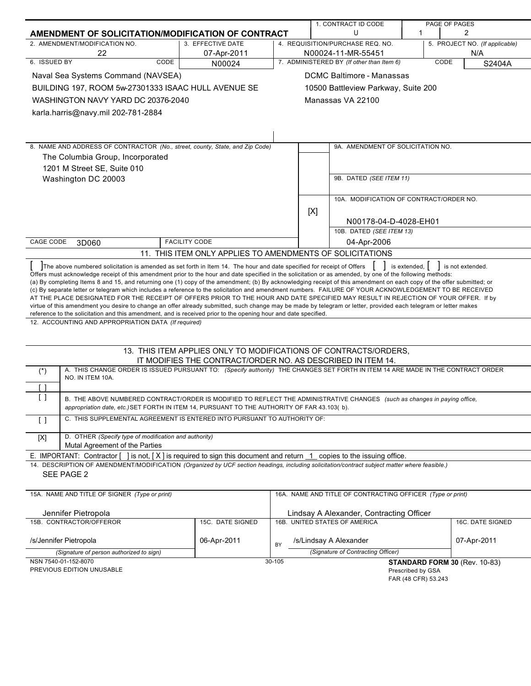|                                                                                                                                                                                                                                                                                                                                                                                                                                                                                                                                                                                                                                                                                                                                                                                                                      |                                                                                                                                 |        |     | 1. CONTRACT ID CODE                                             |                   | PAGE OF PAGES                                        |
|----------------------------------------------------------------------------------------------------------------------------------------------------------------------------------------------------------------------------------------------------------------------------------------------------------------------------------------------------------------------------------------------------------------------------------------------------------------------------------------------------------------------------------------------------------------------------------------------------------------------------------------------------------------------------------------------------------------------------------------------------------------------------------------------------------------------|---------------------------------------------------------------------------------------------------------------------------------|--------|-----|-----------------------------------------------------------------|-------------------|------------------------------------------------------|
| AMENDMENT OF SOLICITATION/MODIFICATION OF CONTRACT                                                                                                                                                                                                                                                                                                                                                                                                                                                                                                                                                                                                                                                                                                                                                                   |                                                                                                                                 |        |     | U                                                               | 1                 | 2                                                    |
| 2. AMENDMENT/MODIFICATION NO.                                                                                                                                                                                                                                                                                                                                                                                                                                                                                                                                                                                                                                                                                                                                                                                        | 3. EFFECTIVE DATE                                                                                                               |        |     | 4. REQUISITION/PURCHASE REQ. NO.                                |                   | 5. PROJECT NO. (If applicable)                       |
| 22<br>6. ISSUED BY<br>CODE                                                                                                                                                                                                                                                                                                                                                                                                                                                                                                                                                                                                                                                                                                                                                                                           | 07-Apr-2011                                                                                                                     |        |     | N00024-11-MR-55451<br>7. ADMINISTERED BY (If other than Item 6) |                   | N/A<br>CODE                                          |
|                                                                                                                                                                                                                                                                                                                                                                                                                                                                                                                                                                                                                                                                                                                                                                                                                      | N00024                                                                                                                          |        |     |                                                                 |                   | S2404A                                               |
| Naval Sea Systems Command (NAVSEA)                                                                                                                                                                                                                                                                                                                                                                                                                                                                                                                                                                                                                                                                                                                                                                                   |                                                                                                                                 |        |     | DCMC Baltimore - Manassas                                       |                   |                                                      |
| BUILDING 197, ROOM 5w-27301333 ISAAC HULL AVENUE SE                                                                                                                                                                                                                                                                                                                                                                                                                                                                                                                                                                                                                                                                                                                                                                  |                                                                                                                                 |        |     | 10500 Battleview Parkway, Suite 200                             |                   |                                                      |
| WASHINGTON NAVY YARD DC 20376-2040                                                                                                                                                                                                                                                                                                                                                                                                                                                                                                                                                                                                                                                                                                                                                                                   |                                                                                                                                 |        |     | Manassas VA 22100                                               |                   |                                                      |
| karla.harris@navy.mil 202-781-2884                                                                                                                                                                                                                                                                                                                                                                                                                                                                                                                                                                                                                                                                                                                                                                                   |                                                                                                                                 |        |     |                                                                 |                   |                                                      |
|                                                                                                                                                                                                                                                                                                                                                                                                                                                                                                                                                                                                                                                                                                                                                                                                                      |                                                                                                                                 |        |     |                                                                 |                   |                                                      |
|                                                                                                                                                                                                                                                                                                                                                                                                                                                                                                                                                                                                                                                                                                                                                                                                                      |                                                                                                                                 |        |     |                                                                 |                   |                                                      |
| 8. NAME AND ADDRESS OF CONTRACTOR (No., street, county, State, and Zip Code)                                                                                                                                                                                                                                                                                                                                                                                                                                                                                                                                                                                                                                                                                                                                         |                                                                                                                                 |        |     | 9A. AMENDMENT OF SOLICITATION NO.                               |                   |                                                      |
| The Columbia Group, Incorporated                                                                                                                                                                                                                                                                                                                                                                                                                                                                                                                                                                                                                                                                                                                                                                                     |                                                                                                                                 |        |     |                                                                 |                   |                                                      |
| 1201 M Street SE, Suite 010                                                                                                                                                                                                                                                                                                                                                                                                                                                                                                                                                                                                                                                                                                                                                                                          |                                                                                                                                 |        |     |                                                                 |                   |                                                      |
| Washington DC 20003                                                                                                                                                                                                                                                                                                                                                                                                                                                                                                                                                                                                                                                                                                                                                                                                  |                                                                                                                                 |        |     | 9B. DATED (SEE ITEM 11)                                         |                   |                                                      |
|                                                                                                                                                                                                                                                                                                                                                                                                                                                                                                                                                                                                                                                                                                                                                                                                                      |                                                                                                                                 |        |     |                                                                 |                   |                                                      |
|                                                                                                                                                                                                                                                                                                                                                                                                                                                                                                                                                                                                                                                                                                                                                                                                                      |                                                                                                                                 |        |     | 10A. MODIFICATION OF CONTRACT/ORDER NO.                         |                   |                                                      |
|                                                                                                                                                                                                                                                                                                                                                                                                                                                                                                                                                                                                                                                                                                                                                                                                                      |                                                                                                                                 |        | [X] |                                                                 |                   |                                                      |
|                                                                                                                                                                                                                                                                                                                                                                                                                                                                                                                                                                                                                                                                                                                                                                                                                      |                                                                                                                                 |        |     | N00178-04-D-4028-EH01                                           |                   |                                                      |
|                                                                                                                                                                                                                                                                                                                                                                                                                                                                                                                                                                                                                                                                                                                                                                                                                      |                                                                                                                                 |        |     | 10B. DATED (SEE ITEM 13)                                        |                   |                                                      |
| CAGE CODE<br>3D060                                                                                                                                                                                                                                                                                                                                                                                                                                                                                                                                                                                                                                                                                                                                                                                                   | <b>FACILITY CODE</b>                                                                                                            |        |     | 04-Apr-2006                                                     |                   |                                                      |
|                                                                                                                                                                                                                                                                                                                                                                                                                                                                                                                                                                                                                                                                                                                                                                                                                      | 11. THIS ITEM ONLY APPLIES TO AMENDMENTS OF SOLICITATIONS                                                                       |        |     |                                                                 |                   |                                                      |
| (a) By completing Items 8 and 15, and returning one (1) copy of the amendment; (b) By acknowledging receipt of this amendment on each copy of the offer submitted; or<br>(c) By separate letter or telegram which includes a reference to the solicitation and amendment numbers. FAILURE OF YOUR ACKNOWLEDGEMENT TO BE RECEIVED<br>AT THE PLACE DESIGNATED FOR THE RECEIPT OF OFFERS PRIOR TO THE HOUR AND DATE SPECIFIED MAY RESULT IN REJECTION OF YOUR OFFER. If by<br>virtue of this amendment you desire to change an offer already submitted, such change may be made by telegram or letter, provided each telegram or letter makes<br>reference to the solicitation and this amendment, and is received prior to the opening hour and date specified.<br>12. ACCOUNTING AND APPROPRIATION DATA (If required) |                                                                                                                                 |        |     |                                                                 |                   |                                                      |
|                                                                                                                                                                                                                                                                                                                                                                                                                                                                                                                                                                                                                                                                                                                                                                                                                      |                                                                                                                                 |        |     |                                                                 |                   |                                                      |
|                                                                                                                                                                                                                                                                                                                                                                                                                                                                                                                                                                                                                                                                                                                                                                                                                      | 13. THIS ITEM APPLIES ONLY TO MODIFICATIONS OF CONTRACTS/ORDERS,<br>IT MODIFIES THE CONTRACT/ORDER NO. AS DESCRIBED IN ITEM 14. |        |     |                                                                 |                   |                                                      |
| A. THIS CHANGE ORDER IS ISSUED PURSUANT TO: (Specify authority) THE CHANGES SET FORTH IN ITEM 14 ARE MADE IN THE CONTRACT ORDER<br>$(*)$                                                                                                                                                                                                                                                                                                                                                                                                                                                                                                                                                                                                                                                                             |                                                                                                                                 |        |     |                                                                 |                   |                                                      |
| NO. IN ITEM 10A.<br>[ ]                                                                                                                                                                                                                                                                                                                                                                                                                                                                                                                                                                                                                                                                                                                                                                                              |                                                                                                                                 |        |     |                                                                 |                   |                                                      |
| $\left[ \begin{array}{c} \end{array} \right]$<br>B. THE ABOVE NUMBERED CONTRACT/ORDER IS MODIFIED TO REFLECT THE ADMINISTRATIVE CHANGES (such as changes in paying office,<br>appropriation date, etc.) SET FORTH IN ITEM 14, PURSUANT TO THE AUTHORITY OF FAR 43.103(b).                                                                                                                                                                                                                                                                                                                                                                                                                                                                                                                                            |                                                                                                                                 |        |     |                                                                 |                   |                                                      |
| C. THIS SUPPLEMENTAL AGREEMENT IS ENTERED INTO PURSUANT TO AUTHORITY OF:<br>$\left[ \ \right]$                                                                                                                                                                                                                                                                                                                                                                                                                                                                                                                                                                                                                                                                                                                       |                                                                                                                                 |        |     |                                                                 |                   |                                                      |
| D. OTHER (Specify type of modification and authority)<br>$[{\sf X}]$<br>Mutal Agreement of the Parties                                                                                                                                                                                                                                                                                                                                                                                                                                                                                                                                                                                                                                                                                                               |                                                                                                                                 |        |     |                                                                 |                   |                                                      |
| E. IMPORTANT: Contractor $[$ ] is not, $[X]$ is required to sign this document and return $1$ copies to the issuing office.                                                                                                                                                                                                                                                                                                                                                                                                                                                                                                                                                                                                                                                                                          |                                                                                                                                 |        |     |                                                                 |                   |                                                      |
| 14. DESCRIPTION OF AMENDMENT/MODIFICATION (Organized by UCF section headings, including solicitation/contract subject matter where feasible.)<br>SEE PAGE 2                                                                                                                                                                                                                                                                                                                                                                                                                                                                                                                                                                                                                                                          |                                                                                                                                 |        |     |                                                                 |                   |                                                      |
|                                                                                                                                                                                                                                                                                                                                                                                                                                                                                                                                                                                                                                                                                                                                                                                                                      |                                                                                                                                 |        |     |                                                                 |                   |                                                      |
| 15A. NAME AND TITLE OF SIGNER (Type or print)                                                                                                                                                                                                                                                                                                                                                                                                                                                                                                                                                                                                                                                                                                                                                                        |                                                                                                                                 |        |     | 16A. NAME AND TITLE OF CONTRACTING OFFICER (Type or print)      |                   |                                                      |
| Jennifer Pietropola                                                                                                                                                                                                                                                                                                                                                                                                                                                                                                                                                                                                                                                                                                                                                                                                  |                                                                                                                                 |        |     | Lindsay A Alexander, Contracting Officer                        |                   |                                                      |
| 15B. CONTRACTOR/OFFEROR                                                                                                                                                                                                                                                                                                                                                                                                                                                                                                                                                                                                                                                                                                                                                                                              | 15C. DATE SIGNED                                                                                                                |        |     | 16B. UNITED STATES OF AMERICA                                   |                   | 16C. DATE SIGNED                                     |
| /s/Jennifer Pietropola                                                                                                                                                                                                                                                                                                                                                                                                                                                                                                                                                                                                                                                                                                                                                                                               | 06-Apr-2011                                                                                                                     | BY     |     | /s/Lindsay A Alexander                                          |                   | 07-Apr-2011                                          |
| (Signature of person authorized to sign)                                                                                                                                                                                                                                                                                                                                                                                                                                                                                                                                                                                                                                                                                                                                                                             |                                                                                                                                 |        |     | (Signature of Contracting Officer)                              |                   |                                                      |
| NSN 7540-01-152-8070<br>PREVIOUS EDITION UNUSABLE                                                                                                                                                                                                                                                                                                                                                                                                                                                                                                                                                                                                                                                                                                                                                                    |                                                                                                                                 | 30-105 |     |                                                                 | Prescribed by GSA | STANDARD FORM 30 (Rev. 10-83)<br>FAR (48 CFR) 53.243 |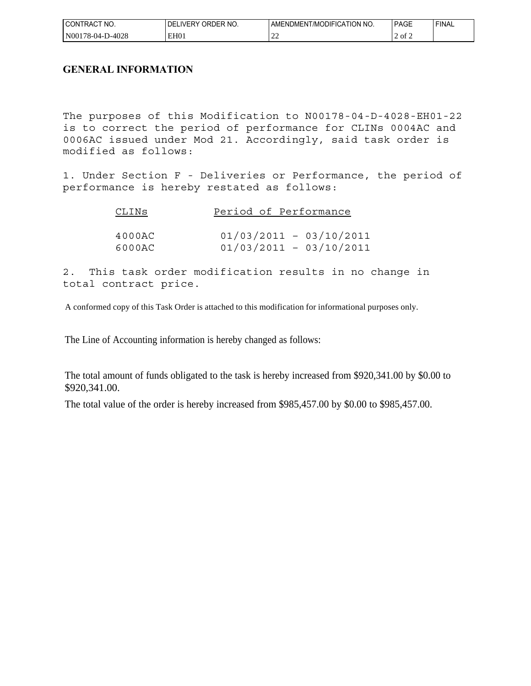| ICON.<br>'NO.<br>TRAC1          | RDER NO.<br>`R'<br>WERY<br>DF | n no.<br>∴ATION.∵<br>ODIFIC<br>/MO<br>ΔN<br><sup>. </sup> ″⊢NL…<br>'MEN.<br>AIVIL | PAGE                    | <b>FINAL</b> |
|---------------------------------|-------------------------------|-----------------------------------------------------------------------------------|-------------------------|--------------|
| N00<br>0-4028<br>$.76 - 04 - 1$ | EH <sub>01</sub>              | $\sim$<br>.                                                                       | $\circ$ of $\circ$<br>- |              |

# **GENERAL INFORMATION**

The purposes of this Modification to N00178-04-D-4028-EH01-22 is to correct the period of performance for CLINs 0004AC and 0006AC issued under Mod 21. Accordingly, said task order is modified as follows:

1. Under Section F - Deliveries or Performance, the period of performance is hereby restated as follows:

| CLINS  | Period of Performance     |
|--------|---------------------------|
|        |                           |
| 4000AC | $01/03/2011 - 03/10/2011$ |
| 6000AC | $01/03/2011 - 03/10/2011$ |

2. This task order modification results in no change in total contract price.

A conformed copy of this Task Order is attached to this modification for informational purposes only.

The Line of Accounting information is hereby changed as follows:

The total amount of funds obligated to the task is hereby increased from \$920,341.00 by \$0.00 to \$920,341.00.

The total value of the order is hereby increased from \$985,457.00 by \$0.00 to \$985,457.00.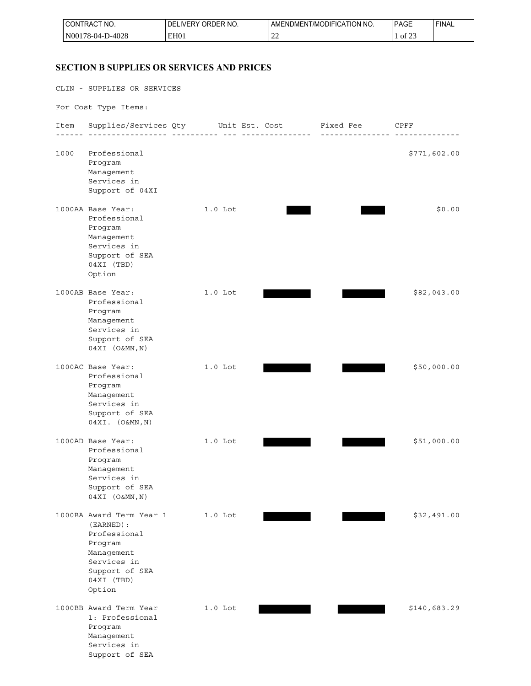| NO.<br>I CON<br><b>IRAC</b><br>____     | NO.<br>DE<br>՝<br><b>JRDER</b><br>IVFR | ' NO.<br>TION<br>I /MODIFI(<br>AMENDMENT<br>$\cdots$ | PAGE         | 'FINAL |
|-----------------------------------------|----------------------------------------|------------------------------------------------------|--------------|--------|
| 1028<br>'N00<br>8-04-T<br>ס∠ט+-כ<br>___ | EH <sub>01</sub>                       | --                                                   | $\sim$<br>Οİ |        |

## **SECTION B SUPPLIES OR SERVICES AND PRICES**

CLIN - SUPPLIES OR SERVICES For Cost Type Items: Item Supplies/Services Qty Unit Est. Cost Fixed Fee CPFF ------ ----------------- ---------- --- --------------- --------------- -------------- 1000 Professional \$771,602.00 Program Management Services in Support of 04XI 1000AA Base Year: 1.0 Lot \$0.00 Professional Program Management Services in Support of SEA 04XI (TBD) Option 1000AB Base Year: 1.0 Lot 1.0 Lot \$82,043.00 Professional Program Management Services in Support of SEA 04XI (O&MN,N) 1000AC Base Year: 1.0 Lot 1.0 Lot \$50,000.00 Professional Program Management Services in Support of SEA 04XI. (O&MN,N) 1000AD Base Year: 1.0 Lot \$51,000.00 Professional Program Management Services in Support of SEA 04XI (O&MN,N) 1000BA Award Term Year 1 1.0 Lot 632,491.00 (EARNED): Professional Program Management Services in Support of SEA 04XI (TBD) Option 1000BB Award Term Year 1.0 Lot **1.0 Lot** \$140,683.29 1: Professional Program Management Services in Support of SEA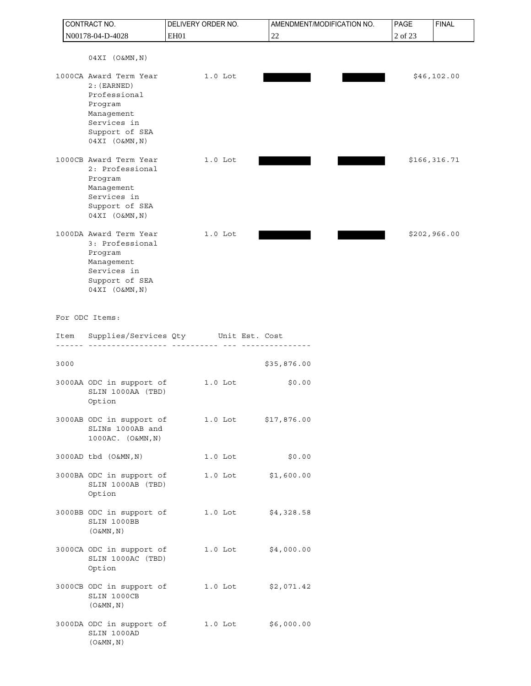| CONTRACT NO. |                                                                                                                                    | DELIVERY ORDER NO.                                 | AMENDMENT/MODIFICATION NO. |  | PAGE<br><b>FINAL</b> |              |  |
|--------------|------------------------------------------------------------------------------------------------------------------------------------|----------------------------------------------------|----------------------------|--|----------------------|--------------|--|
|              | N00178-04-D-4028                                                                                                                   | EH01                                               | 22                         |  | 2 of 23              |              |  |
|              | $04XI$ $(O&MN,N)$                                                                                                                  |                                                    |                            |  |                      |              |  |
|              | 1000CA Award Term Year<br>$2:$ (EARNED)<br>Professional<br>Program<br>Management<br>Services in<br>Support of SEA<br>04XI (O&MN,N) | $1.0$ Lot                                          |                            |  |                      | \$46, 102.00 |  |
|              | 1000CB Award Term Year<br>2: Professional<br>Program<br>Management<br>Services in<br>Support of SEA<br>04XI (O&MN, N)              | $1.0$ Lot                                          |                            |  |                      | \$166,316.71 |  |
|              | 1000DA Award Term Year<br>3: Professional<br>Program<br>Management<br>Services in<br>Support of SEA<br>04XI (O&MN, N)              | $1.0$ Lot                                          |                            |  |                      | \$202,966.00 |  |
|              | For ODC Items:                                                                                                                     |                                                    |                            |  |                      |              |  |
|              | Item                                                                                                                               | Supplies/Services Qty Unit Est. Cost<br>---------- | ---------                  |  |                      |              |  |
|              | 3000                                                                                                                               |                                                    | \$35,876.00                |  |                      |              |  |
|              | 3000AA ODC in support of<br>SLIN 1000AA (TBD)<br>Option                                                                            | $1.0$ Lot                                          | \$0.00                     |  |                      |              |  |
|              | 3000AB ODC in support of<br>SLINs 1000AB and<br>1000AC. (O&MN, N)                                                                  |                                                    | 1.0 Lot \$17,876.00        |  |                      |              |  |
|              | 3000AD tbd (O&MN, N)                                                                                                               | $1.0$ Lot                                          | \$0.00                     |  |                      |              |  |
|              | 3000BA ODC in support of<br>SLIN 1000AB (TBD)<br>Option                                                                            | $1.0$ Lot                                          | \$1,600.00                 |  |                      |              |  |
|              | 3000BB ODC in support of<br>SLIN 1000BB<br>$(0\&MN, N)$                                                                            | $1.0$ Lot                                          | \$4,328.58                 |  |                      |              |  |
|              | 3000CA ODC in support of<br>SLIN 1000AC (TBD)<br>Option                                                                            | $1.0$ Lot                                          | \$4,000.00                 |  |                      |              |  |
|              | 3000CB ODC in support of<br>SLIN 1000CB<br>$(0\&MN, N)$                                                                            | $1.0$ Lot                                          | \$2,071.42                 |  |                      |              |  |
|              | 3000DA ODC in support of<br>SLIN 1000AD<br>$(0 \& MN, N)$                                                                          | $1.0$ Lot                                          | \$6,000.00                 |  |                      |              |  |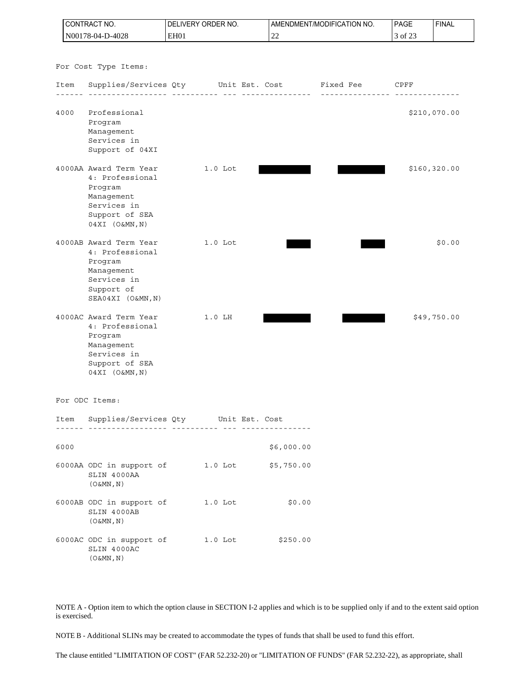| CONTRACT NO.     |                                                                                                                          |      | DELIVERY ORDER NO. |            | AMENDMENT/MODIFICATION NO. | PAGE    | <b>FINAL</b>  |
|------------------|--------------------------------------------------------------------------------------------------------------------------|------|--------------------|------------|----------------------------|---------|---------------|
| N00178-04-D-4028 |                                                                                                                          | EH01 |                    | 22         |                            | 3 of 23 |               |
|                  | For Cost Type Items:                                                                                                     |      |                    |            |                            |         |               |
| Item             | Supplies/Services Qty Unit Est. Cost                                                                                     |      |                    |            | Fixed Fee                  | CPFF    |               |
|                  |                                                                                                                          |      |                    |            | . <u>.</u> .               |         |               |
| 4000             | Professional<br>Program<br>Management<br>Services in<br>Support of 04XI                                                  |      |                    |            |                            |         | \$210,070.00  |
|                  | 4000AA Award Term Year<br>4: Professional<br>Program<br>Management<br>Services in<br>Support of SEA<br>$04XI (O\&MN, N)$ |      | $1.0$ Lot          |            |                            |         | \$160, 320.00 |
|                  | 4000AB Award Term Year<br>4: Professional<br>Program<br>Management<br>Services in<br>Support of<br>SEA04XI (O&MN, N)     |      | $1.0$ Lot          |            |                            |         | \$0.00        |
|                  | 4000AC Award Term Year<br>4: Professional<br>Program<br>Management<br>Services in<br>Support of SEA<br>04XI (O&MN, N)    |      | $1.0$ LH           |            |                            |         | \$49,750.00   |
| For ODC Items:   |                                                                                                                          |      |                    |            |                            |         |               |
|                  | Item Supplies/Services Qty Unit Est. Cost                                                                                |      |                    |            |                            |         |               |
|                  |                                                                                                                          |      |                    |            |                            |         |               |
| 6000             |                                                                                                                          |      |                    | \$6,000.00 |                            |         |               |
|                  | 6000AA ODC in support of 1.0 Lot \$5,750.00<br>SLIN 4000AA<br>$(0\&MN, N)$                                               |      |                    |            |                            |         |               |
|                  | 6000AB ODC in support of 1.0 Lot<br>SLIN 4000AB<br>$(0\&MN, N)$                                                          |      |                    | \$0.00     |                            |         |               |
|                  | 6000AC ODC in support of 1.0 Lot<br>SLIN 4000AC<br>$(0 \& MN, N)$                                                        |      |                    | \$250.00   |                            |         |               |

NOTE A - Option item to which the option clause in SECTION I-2 applies and which is to be supplied only if and to the extent said option is exercised.

NOTE B - Additional SLINs may be created to accommodate the types of funds that shall be used to fund this effort.

The clause entitled "LIMITATION OF COST" (FAR 52.232-20) or "LIMITATION OF FUNDS" (FAR 52.232-22), as appropriate, shall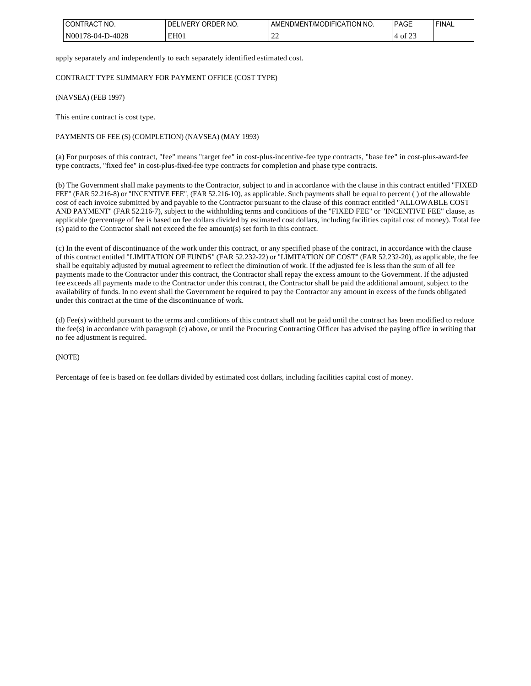| NO.<br>$\sim$<br>)N<br>I RAC<br>_____                        | NO.<br>-<br>א⊣וואו<br>≀ )⊢∶<br><b>IVER</b> | NO.<br>' ATION.<br>L/MODIFIC<br>DMEN<br>AMFNI | PAGL                            | <b>FINAL</b> |
|--------------------------------------------------------------|--------------------------------------------|-----------------------------------------------|---------------------------------|--------------|
| $\Omega$<br>N(<br>$^{\prime}$ $^{\prime}$ $^{\prime}$<br>∪∠o | EH01                                       | $\sim$<br>--                                  | $\sim$ $\sim$<br>Οİ<br>--<br>__ |              |

apply separately and independently to each separately identified estimated cost.

CONTRACT TYPE SUMMARY FOR PAYMENT OFFICE (COST TYPE)

(NAVSEA) (FEB 1997)

This entire contract is cost type.

#### PAYMENTS OF FEE (S) (COMPLETION) (NAVSEA) (MAY 1993)

(a) For purposes of this contract, "fee" means "target fee" in cost-plus-incentive-fee type contracts, "base fee" in cost-plus-award-fee type contracts, "fixed fee" in cost-plus-fixed-fee type contracts for completion and phase type contracts.

(b) The Government shall make payments to the Contractor, subject to and in accordance with the clause in this contract entitled "FIXED FEE" (FAR 52.216-8) or "INCENTIVE FEE", (FAR 52.216-10), as applicable. Such payments shall be equal to percent ( ) of the allowable cost of each invoice submitted by and payable to the Contractor pursuant to the clause of this contract entitled "ALLOWABLE COST AND PAYMENT" (FAR 52.216-7), subject to the withholding terms and conditions of the "FIXED FEE" or "INCENTIVE FEE" clause, as applicable (percentage of fee is based on fee dollars divided by estimated cost dollars, including facilities capital cost of money). Total fee (s) paid to the Contractor shall not exceed the fee amount(s) set forth in this contract.

(c) In the event of discontinuance of the work under this contract, or any specified phase of the contract, in accordance with the clause of this contract entitled "LIMITATION OF FUNDS" (FAR 52.232-22) or "LIMITATION OF COST" (FAR 52.232-20), as applicable, the fee shall be equitably adjusted by mutual agreement to reflect the diminution of work. If the adjusted fee is less than the sum of all fee payments made to the Contractor under this contract, the Contractor shall repay the excess amount to the Government. If the adjusted fee exceeds all payments made to the Contractor under this contract, the Contractor shall be paid the additional amount, subject to the availability of funds. In no event shall the Government be required to pay the Contractor any amount in excess of the funds obligated under this contract at the time of the discontinuance of work.

(d) Fee(s) withheld pursuant to the terms and conditions of this contract shall not be paid until the contract has been modified to reduce the fee(s) in accordance with paragraph (c) above, or until the Procuring Contracting Officer has advised the paying office in writing that no fee adjustment is required.

(NOTE)

Percentage of fee is based on fee dollars divided by estimated cost dollars, including facilities capital cost of money.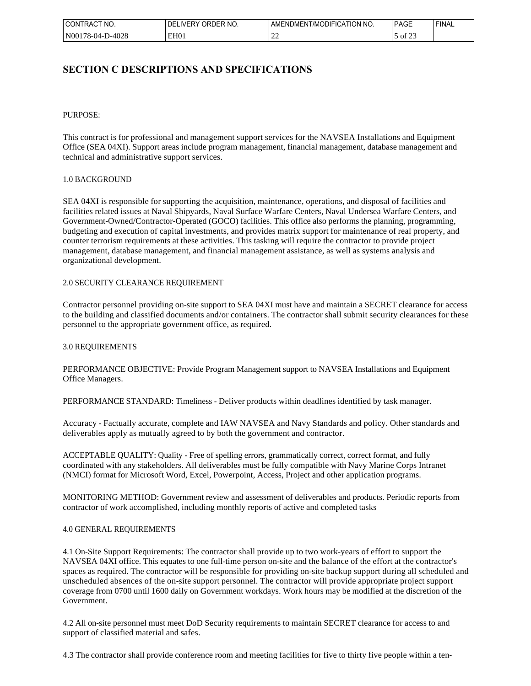| I CONT<br>'NO.<br>TRACT<br>____     | ORDER NO.<br><b>IVERY</b><br>ŊF<br>$\sim$ | <b>CATION</b><br>' NO.<br><b>JDIFIC</b><br>l /MC<br>JMEN<br>AMENL' | י AG⊨                      | <b>FINAL</b> |
|-------------------------------------|-------------------------------------------|--------------------------------------------------------------------|----------------------------|--------------|
| N00<br>0-4028<br>$/8 - 04 -$<br>___ | EH <sub>0</sub> 1                         | --                                                                 | $\sim$ $\sim$ $\sim$<br>O1 |              |

# **SECTION C DESCRIPTIONS AND SPECIFICATIONS**

#### PURPOSE:

This contract is for professional and management support services for the NAVSEA Installations and Equipment Office (SEA 04XI). Support areas include program management, financial management, database management and technical and administrative support services.

#### 1.0 BACKGROUND

SEA 04XI is responsible for supporting the acquisition, maintenance, operations, and disposal of facilities and facilities related issues at Naval Shipyards, Naval Surface Warfare Centers, Naval Undersea Warfare Centers, and Government-Owned/Contractor-Operated (GOCO) facilities. This office also performs the planning, programming, budgeting and execution of capital investments, and provides matrix support for maintenance of real property, and counter terrorism requirements at these activities. This tasking will require the contractor to provide project management, database management, and financial management assistance, as well as systems analysis and organizational development.

#### 2.0 SECURITY CLEARANCE REQUIREMENT

Contractor personnel providing on-site support to SEA 04XI must have and maintain a SECRET clearance for access to the building and classified documents and/or containers. The contractor shall submit security clearances for these personnel to the appropriate government office, as required.

#### 3.0 REQUIREMENTS

PERFORMANCE OBJECTIVE: Provide Program Management support to NAVSEA Installations and Equipment Office Managers.

PERFORMANCE STANDARD: Timeliness - Deliver products within deadlines identified by task manager.

Accuracy - Factually accurate, complete and IAW NAVSEA and Navy Standards and policy. Other standards and deliverables apply as mutually agreed to by both the government and contractor.

ACCEPTABLE QUALITY: Quality - Free of spelling errors, grammatically correct, correct format, and fully coordinated with any stakeholders. All deliverables must be fully compatible with Navy Marine Corps Intranet (NMCI) format for Microsoft Word, Excel, Powerpoint, Access, Project and other application programs.

MONITORING METHOD: Government review and assessment of deliverables and products. Periodic reports from contractor of work accomplished, including monthly reports of active and completed tasks

#### 4.0 GENERAL REQUIREMENTS

4.1 On-Site Support Requirements: The contractor shall provide up to two work-years of effort to support the NAVSEA 04XI office. This equates to one full-time person on-site and the balance of the effort at the contractor's spaces as required. The contractor will be responsible for providing on-site backup support during all scheduled and unscheduled absences of the on-site support personnel. The contractor will provide appropriate project support coverage from 0700 until 1600 daily on Government workdays. Work hours may be modified at the discretion of the Government.

4.2 All on-site personnel must meet DoD Security requirements to maintain SECRET clearance for access to and support of classified material and safes.

4.3 The contractor shall provide conference room and meeting facilities for five to thirty five people within a ten-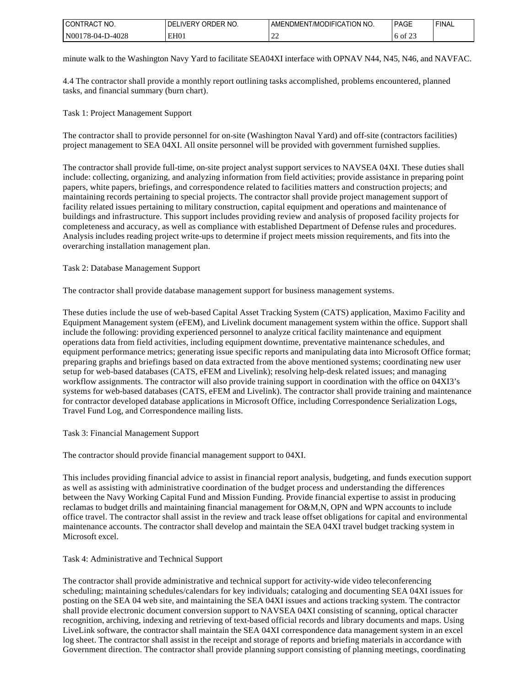| l CON<br>'NO.<br><b>TRAC</b>   | ? NO<br>ור<br>ابر<br>- 12 V<br>JE⊬<br>IVFR | tion<br>' NO.<br>⊤AOIFIC∆−<br>')M⊢N I<br>AMENI<br>L/MO | <b>PAGE</b><br>_____       | <b>FINAL</b> |
|--------------------------------|--------------------------------------------|--------------------------------------------------------|----------------------------|--------------|
| N00<br>D-4028<br>/8-04-<br>___ | EH <sub>0</sub>                            | $\sim$<br>--                                           | $\cdot$ $\sim$<br>ΟĪ<br>__ |              |

minute walk to the Washington Navy Yard to facilitate SEA04XI interface with OPNAV N44, N45, N46, and NAVFAC.

4.4 The contractor shall provide a monthly report outlining tasks accomplished, problems encountered, planned tasks, and financial summary (burn chart).

Task 1: Project Management Support

The contractor shall to provide personnel for on-site (Washington Naval Yard) and off-site (contractors facilities) project management to SEA 04XI. All onsite personnel will be provided with government furnished supplies.

The contractor shall provide full-time, on-site project analyst support services to NAVSEA 04XI. These duties shall include: collecting, organizing, and analyzing information from field activities; provide assistance in preparing point papers, white papers, briefings, and correspondence related to facilities matters and construction projects; and maintaining records pertaining to special projects. The contractor shall provide project management support of facility related issues pertaining to military construction, capital equipment and operations and maintenance of buildings and infrastructure. This support includes providing review and analysis of proposed facility projects for completeness and accuracy, as well as compliance with established Department of Defense rules and procedures. Analysis includes reading project write-ups to determine if project meets mission requirements, and fits into the overarching installation management plan.

Task 2: Database Management Support

The contractor shall provide database management support for business management systems.

These duties include the use of web-based Capital Asset Tracking System (CATS) application, Maximo Facility and Equipment Management system (eFEM), and Livelink document management system within the office. Support shall include the following: providing experienced personnel to analyze critical facility maintenance and equipment operations data from field activities, including equipment downtime, preventative maintenance schedules, and equipment performance metrics; generating issue specific reports and manipulating data into Microsoft Office format; preparing graphs and briefings based on data extracted from the above mentioned systems; coordinating new user setup for web-based databases (CATS, eFEM and Livelink); resolving help-desk related issues; and managing workflow assignments. The contractor will also provide training support in coordination with the office on 04XI3's systems for web-based databases (CATS, eFEM and Livelink). The contractor shall provide training and maintenance for contractor developed database applications in Microsoft Office, including Correspondence Serialization Logs, Travel Fund Log, and Correspondence mailing lists.

Task 3: Financial Management Support

The contractor should provide financial management support to 04XI.

This includes providing financial advice to assist in financial report analysis, budgeting, and funds execution support as well as assisting with administrative coordination of the budget process and understanding the differences between the Navy Working Capital Fund and Mission Funding. Provide financial expertise to assist in producing reclamas to budget drills and maintaining financial management for O&M,N, OPN and WPN accounts to include office travel. The contractor shall assist in the review and track lease offset obligations for capital and environmental maintenance accounts. The contractor shall develop and maintain the SEA 04XI travel budget tracking system in Microsoft excel.

Task 4: Administrative and Technical Support

The contractor shall provide administrative and technical support for activity-wide video teleconferencing scheduling; maintaining schedules/calendars for key individuals; cataloging and documenting SEA 04XI issues for posting on the SEA 04 web site, and maintaining the SEA 04XI issues and actions tracking system. The contractor shall provide electronic document conversion support to NAVSEA 04XI consisting of scanning, optical character recognition, archiving, indexing and retrieving of text-based official records and library documents and maps. Using LiveLink software, the contractor shall maintain the SEA 04XI correspondence data management system in an excel log sheet. The contractor shall assist in the receipt and storage of reports and briefing materials in accordance with Government direction. The contractor shall provide planning support consisting of planning meetings, coordinating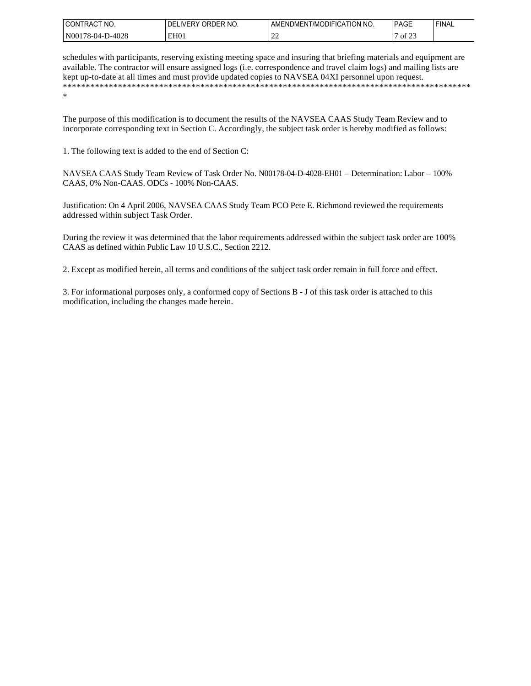| 'NO.<br>.)N<br>RA                        | `NO<br>∵ ∨ים —<br>ہر<br>$P+$<br>л | ion<br>' NO.<br>лэнс<br>l /MC<br>MENDMEN!<br>. A I | <b>PAGE</b><br>___                      | <b>FINA</b> |
|------------------------------------------|-----------------------------------|----------------------------------------------------|-----------------------------------------|-------------|
| N <sub>00</sub><br>$-4028$<br>w∠c<br>___ | EH <sub>0</sub>                   | --                                                 | $\sim$ $\sim$ $\sim$<br>−<br>ΟĪ<br>____ |             |

schedules with participants, reserving existing meeting space and insuring that briefing materials and equipment are available. The contractor will ensure assigned logs (i.e. correspondence and travel claim logs) and mailing lists are kept up-to-date at all times and must provide updated copies to NAVSEA 04XI personnel upon request. \*\*\*\*\*\*\*\*\*\*\*\*\*\*\*\*\*\*\*\*\*\*\*\*\*\*\*\*\*\*\*\*\*\*\*\*\*\*\*\*\*\*\*\*\*\*\*\*\*\*\*\*\*\*\*\*\*\*\*\*\*\*\*\*\*\*\*\*\*\*\*\*\*\*\*\*\*\*\*\*\*\*\*\*\*\*\*\*\* \*

The purpose of this modification is to document the results of the NAVSEA CAAS Study Team Review and to incorporate corresponding text in Section C. Accordingly, the subject task order is hereby modified as follows:

1. The following text is added to the end of Section C:

NAVSEA CAAS Study Team Review of Task Order No. N00178-04-D-4028-EH01 – Determination: Labor – 100% CAAS, 0% Non-CAAS. ODCs - 100% Non-CAAS.

Justification: On 4 April 2006, NAVSEA CAAS Study Team PCO Pete E. Richmond reviewed the requirements addressed within subject Task Order.

During the review it was determined that the labor requirements addressed within the subject task order are 100% CAAS as defined within Public Law 10 U.S.C., Section 2212.

2. Except as modified herein, all terms and conditions of the subject task order remain in full force and effect.

3. For informational purposes only, a conformed copy of Sections B - J of this task order is attached to this modification, including the changes made herein.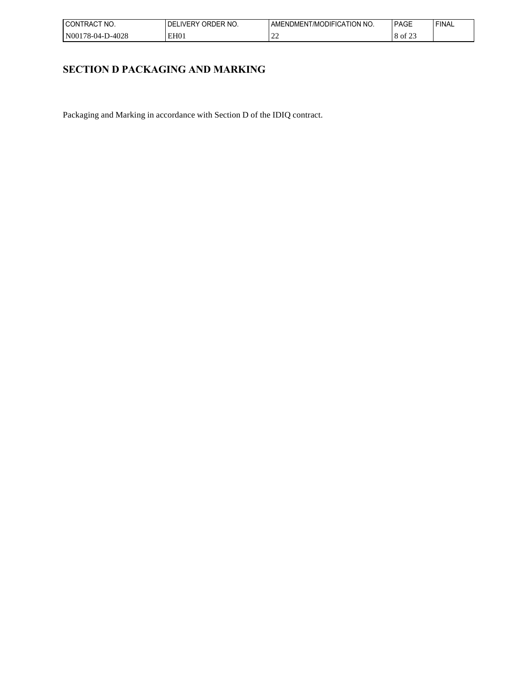| l CON<br>'NO.<br><b>IRAL</b>  | ાના<br>F<br>IVFR<br>⊣(۱<br>'NO<br>__ | ' NO.<br>'ON<br>лэнс<br>/MC<br>AMH<br>∶AI<br>·NI)M⊢N | PAGE         | <b>FINAL</b> |
|-------------------------------|--------------------------------------|------------------------------------------------------|--------------|--------------|
| N00<br>റാ<br>.<br>70-V4-<br>. | EH <sub>0</sub>                      | . .<br>--                                            | $\sim$<br>ΟĪ |              |

# **SECTION D PACKAGING AND MARKING**

Packaging and Marking in accordance with Section D of the IDIQ contract.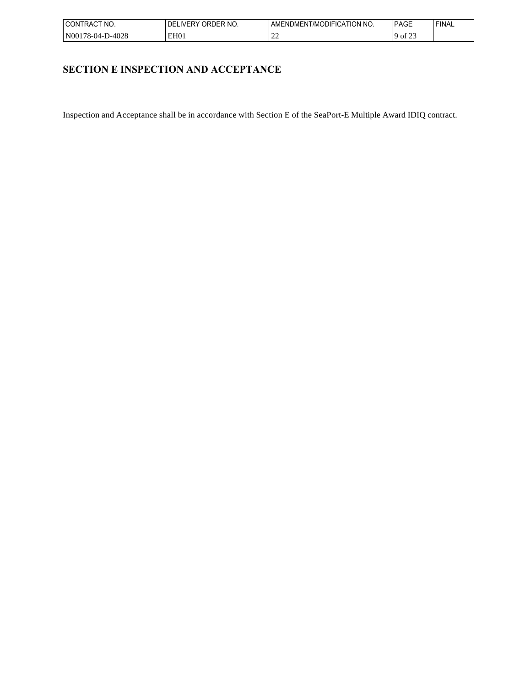| 'NO.<br>'RAC<br>UON.            | ואו<br>)⊢R<br>' NG.<br><b>IVE</b><br>. .<br>. յ⊩<br>___ | ' NO.<br><b>ION</b><br>זו -ווכונ<br>. :A I I'<br>l /MC<br>AMH<br>-NI )MEN | $\sim$ $-$<br>٠Λ.<br>AGL<br>______            | <b>FINAL</b> |
|---------------------------------|---------------------------------------------------------|---------------------------------------------------------------------------|-----------------------------------------------|--------------|
| N00<br>റാറ<br>78-04-.<br>2-4028 | EH01                                                    | $\sim$<br>--                                                              | $\ddot{\phantom{1}}$<br>O1<br><u>_</u><br>___ |              |

# **SECTION E INSPECTION AND ACCEPTANCE**

Inspection and Acceptance shall be in accordance with Section E of the SeaPort-E Multiple Award IDIQ contract.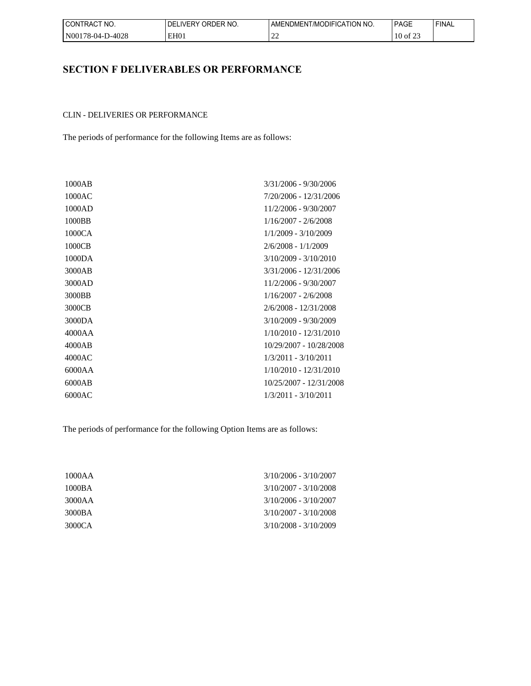| CT NO.<br>'CONTRACT | ORDER NO.<br>DELIVERY | I AMENDMENT/MODIFICATION NO. | <b>PAGE</b>        | <b>FINAL</b> |
|---------------------|-----------------------|------------------------------|--------------------|--------------|
| N00178-04-D-4028    | EH <sub>0</sub>       | $\sim$<br>--                 | $\sim$<br>10 of 23 |              |

# **SECTION F DELIVERABLES OR PERFORMANCE**

## CLIN - DELIVERIES OR PERFORMANCE

The periods of performance for the following Items are as follows:

| 1000AB | 3/31/2006 - 9/30/2006    |
|--------|--------------------------|
| 1000AC | 7/20/2006 - 12/31/2006   |
| 1000AD | 11/2/2006 - 9/30/2007    |
| 1000BB | $1/16/2007 - 2/6/2008$   |
| 1000CA | 1/1/2009 - 3/10/2009     |
| 1000CB | $2/6/2008 - 1/1/2009$    |
| 1000DA | $3/10/2009 - 3/10/2010$  |
| 3000AB | 3/31/2006 - 12/31/2006   |
| 3000AD | 11/2/2006 - 9/30/2007    |
| 3000BB | $1/16/2007 - 2/6/2008$   |
| 3000CB | 2/6/2008 - 12/31/2008    |
| 3000DA | $3/10/2009 - 9/30/2009$  |
| 4000AA | $1/10/2010 - 12/31/2010$ |
| 4000AB | 10/29/2007 - 10/28/2008  |
| 4000AC | $1/3/2011 - 3/10/2011$   |
| 6000AA | $1/10/2010 - 12/31/2010$ |
| 6000AB | 10/25/2007 - 12/31/2008  |
| 6000AC | $1/3/2011 - 3/10/2011$   |
|        |                          |

The periods of performance for the following Option Items are as follows:

| 1000AA | $3/10/2006 - 3/10/2007$ |
|--------|-------------------------|
| 1000BA | $3/10/2007 - 3/10/2008$ |
| 3000AA | $3/10/2006 - 3/10/2007$ |
| 3000BA | $3/10/2007 - 3/10/2008$ |
| 3000CA | 3/10/2008 - 3/10/2009   |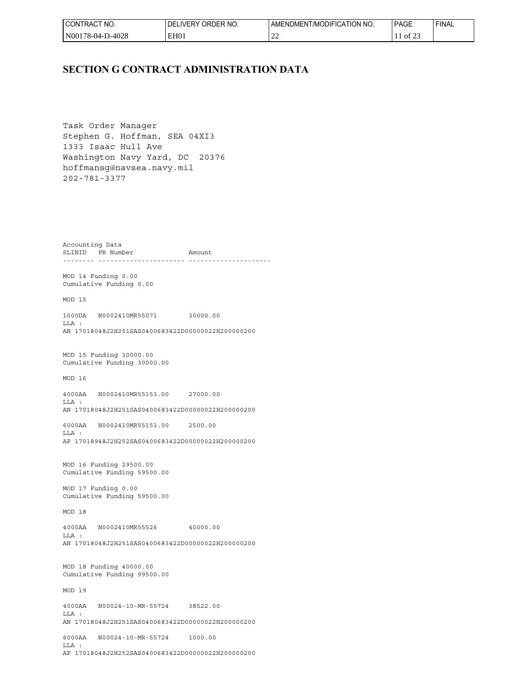| l CONTRACT<br>" NO.        | ORDER NO.<br>DELIVERY | I AMENDMENT/MODIFICATION NO.       | <b>PAGE</b>                   | <b>FINAL</b> |
|----------------------------|-----------------------|------------------------------------|-------------------------------|--------------|
| l N00178-04-I<br>$-D-4028$ | EH <sub>0</sub>       | $\sim$<br>$\overline{\phantom{a}}$ | $\sim$ $\sim$ $\sim$<br>of 2. |              |

## **SECTION G CONTRACT ADMINISTRATION DATA**

Task Order Manager Stephen G. Hoffman, SEA 04XI3 1333 Isaac Hull Ave Washington Navy Yard, DC 20376 hoffmansg@navsea.navy.mil 202-781-3377

Accounting Data SLINID PR Number Amount -------- ---------------------- ---------------------

MOD 14 Funding 0.00 Cumulative Funding 0.00

MOD 15

1000DA N0002410MR55071 30000.00  $T.T.A$  : AN 17018048J2H251SAS0400683422D00000022H200000200

MOD 15 Funding 30000.00 Cumulative Funding 30000.00

MOD 16

4000AA N0002410MR55153.00 27000.00 LLA : AN 17018048J2H251SAS0400683422D00000022H200000200

6000AA N0002410MR55153.00 2500.00  $T.T.A$  : AP 17018948J2H252SAS0400683422D00000022H200000200

MOD 16 Funding 29500.00 Cumulative Funding 59500.00

MOD 17 Funding 0.00 Cumulative Funding 59500.00

MOD 18

4000AA N0002410MR55526 40000.00 LLA : AN 17018048J2H251SAS0400683422D00000022H200000200

MOD 18 Funding 40000.00 Cumulative Funding 99500.00

MOD 19

4000AA N00024-10-MR-55724 38522.00 LLA : AN 17018048J2H251SAS0400683422D00000022H200000200 6000AA N00024-10-MR-55724 1000.00 LLA : AP 17018048J2H252SAS0400683422D00000022H200000200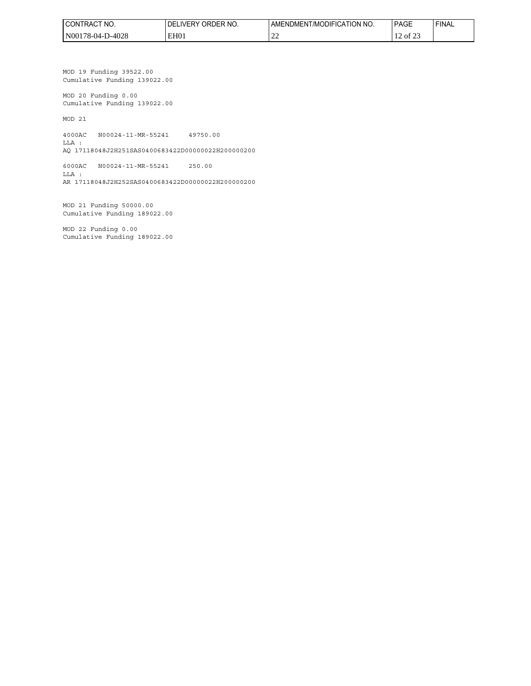| CT NO.<br>'CONTRACT | I DELIVERY ORDER NO. | I AMENDMENT/MODIFICATION NO. | <b>PAGE</b>            | 'FINAL |
|---------------------|----------------------|------------------------------|------------------------|--------|
| N00178-04-D-4028 N  | EH <sub>01</sub>     | $\sim$<br>--                 | $\sim$<br>of 23<br>1 L |        |

MOD 19 Funding 39522.00 Cumulative Funding 139022.00

MOD 20 Funding 0.00 Cumulative Funding 139022.00

MOD 21

4000AC N00024-11-MR-55241 49750.00 LLA :

AQ 17118048J2H251SAS0400683422D00000022H200000200

6000AC N00024-11-MR-55241 250.00 LLA : AR 17118048J2H252SAS0400683422D00000022H200000200

MOD 21 Funding 50000.00 Cumulative Funding 189022.00

MOD 22 Funding 0.00 Cumulative Funding 189022.00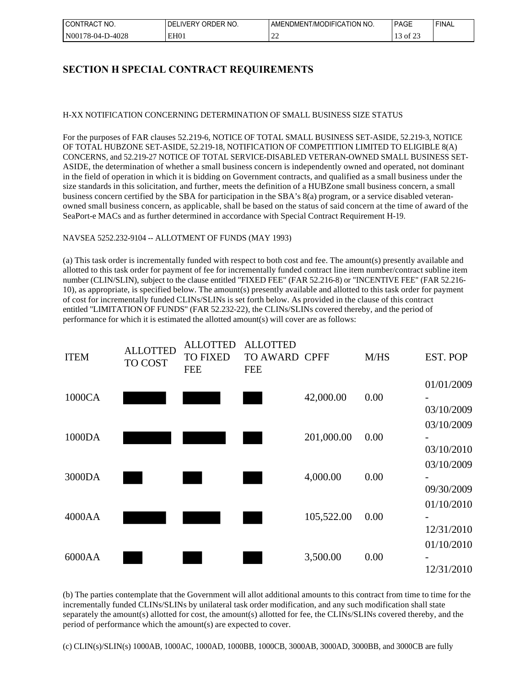| 'NO.<br>⊒RA∟<br>CON                         | $\alpha$ ORDER $\mu$ <sup>o</sup><br>IVFR'<br>NO.<br>. .⊫ | ' NO.<br><b>CATION</b><br>)DIFIC<br>i /MC<br>:NDMEN-<br>AM⊢ | $\sim$<br>PAG∟<br>______                   | <b>FINAL</b> |
|---------------------------------------------|-----------------------------------------------------------|-------------------------------------------------------------|--------------------------------------------|--------------|
| 0-4028<br>N <sub>00</sub><br>78-04-.<br>___ | EH <sub>0</sub>                                           | $\sim$<br>ے ت                                               | $\overline{\phantom{0}}$<br>Оİ<br><u>.</u> |              |

# **SECTION H SPECIAL CONTRACT REQUIREMENTS**

## H-XX NOTIFICATION CONCERNING DETERMINATION OF SMALL BUSINESS SIZE STATUS

For the purposes of FAR clauses 52.219-6, NOTICE OF TOTAL SMALL BUSINESS SET-ASIDE, 52.219-3, NOTICE OF TOTAL HUBZONE SET-ASIDE, 52.219-18, NOTIFICATION OF COMPETITION LIMITED TO ELIGIBLE 8(A) CONCERNS, and 52.219-27 NOTICE OF TOTAL SERVICE-DISABLED VETERAN-OWNED SMALL BUSINESS SET-ASIDE, the determination of whether a small business concern is independently owned and operated, not dominant in the field of operation in which it is bidding on Government contracts, and qualified as a small business under the size standards in this solicitation, and further, meets the definition of a HUBZone small business concern, a small business concern certified by the SBA for participation in the SBA's 8(a) program, or a service disabled veteranowned small business concern, as applicable, shall be based on the status of said concern at the time of award of the SeaPort-e MACs and as further determined in accordance with Special Contract Requirement H-19.

## NAVSEA 5252.232-9104 -- ALLOTMENT OF FUNDS (MAY 1993)

(a) This task order is incrementally funded with respect to both cost and fee. The amount(s) presently available and allotted to this task order for payment of fee for incrementally funded contract line item number/contract subline item number (CLIN/SLIN), subject to the clause entitled "FIXED FEE" (FAR 52.216-8) or "INCENTIVE FEE" (FAR 52.216- 10), as appropriate, is specified below. The amount(s) presently available and allotted to this task order for payment of cost for incrementally funded CLINs/SLINs is set forth below. As provided in the clause of this contract entitled "LIMITATION OF FUNDS" (FAR 52.232-22), the CLINs/SLINs covered thereby, and the period of performance for which it is estimated the allotted amount(s) will cover are as follows:



(b) The parties contemplate that the Government will allot additional amounts to this contract from time to time for the incrementally funded CLINs/SLINs by unilateral task order modification, and any such modification shall state separately the amount(s) allotted for cost, the amount(s) allotted for fee, the CLINs/SLINs covered thereby, and the period of performance which the amount(s) are expected to cover.

(c) CLIN(s)/SLIN(s) 1000AB, 1000AC, 1000AD, 1000BB, 1000CB, 3000AB, 3000AD, 3000BB, and 3000CB are fully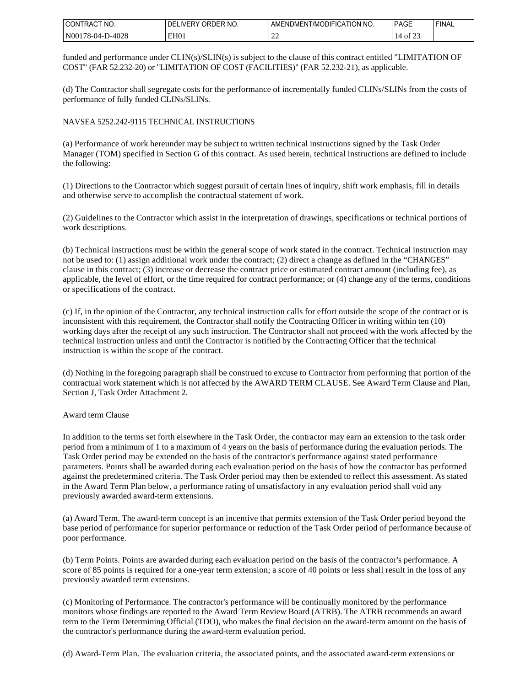| ∟CONT⊑<br>NO.<br>I RAC.        | ORDER NO.<br>IVER'<br>J۳ | ION.<br>, MODIFIC<br>' NO.<br>. । ।(<br>AMENL<br>JMEN I | <b>PAGE</b> | ' FINAL |
|--------------------------------|--------------------------|---------------------------------------------------------|-------------|---------|
| N00<br>D-4028<br>78-04-<br>___ | EH <sub>0</sub>          | $\sim$<br>--                                            | -01<br>__   |         |

funded and performance under CLIN(s)/SLIN(s) is subject to the clause of this contract entitled "LIMITATION OF COST" (FAR 52.232-20) or "LIMITATION OF COST (FACILITIES)" (FAR 52.232-21), as applicable.

(d) The Contractor shall segregate costs for the performance of incrementally funded CLINs/SLINs from the costs of performance of fully funded CLINs/SLINs.

### NAVSEA 5252.242-9115 TECHNICAL INSTRUCTIONS

(a) Performance of work hereunder may be subject to written technical instructions signed by the Task Order Manager (TOM) specified in Section G of this contract. As used herein, technical instructions are defined to include the following:

(1) Directions to the Contractor which suggest pursuit of certain lines of inquiry, shift work emphasis, fill in details and otherwise serve to accomplish the contractual statement of work.

(2) Guidelines to the Contractor which assist in the interpretation of drawings, specifications or technical portions of work descriptions.

(b) Technical instructions must be within the general scope of work stated in the contract. Technical instruction may not be used to: (1) assign additional work under the contract; (2) direct a change as defined in the "CHANGES" clause in this contract; (3) increase or decrease the contract price or estimated contract amount (including fee), as applicable, the level of effort, or the time required for contract performance; or (4) change any of the terms, conditions or specifications of the contract.

(c) If, in the opinion of the Contractor, any technical instruction calls for effort outside the scope of the contract or is inconsistent with this requirement, the Contractor shall notify the Contracting Officer in writing within ten (10) working days after the receipt of any such instruction. The Contractor shall not proceed with the work affected by the technical instruction unless and until the Contractor is notified by the Contracting Officer that the technical instruction is within the scope of the contract.

(d) Nothing in the foregoing paragraph shall be construed to excuse to Contractor from performing that portion of the contractual work statement which is not affected by the AWARD TERM CLAUSE. See Award Term Clause and Plan, Section J, Task Order Attachment 2.

#### Award term Clause

In addition to the terms set forth elsewhere in the Task Order, the contractor may earn an extension to the task order period from a minimum of 1 to a maximum of 4 years on the basis of performance during the evaluation periods. The Task Order period may be extended on the basis of the contractor's performance against stated performance parameters. Points shall be awarded during each evaluation period on the basis of how the contractor has performed against the predetermined criteria. The Task Order period may then be extended to reflect this assessment. As stated in the Award Term Plan below, a performance rating of unsatisfactory in any evaluation period shall void any previously awarded award-term extensions.

(a) Award Term. The award-term concept is an incentive that permits extension of the Task Order period beyond the base period of performance for superior performance or reduction of the Task Order period of performance because of poor performance.

(b) Term Points. Points are awarded during each evaluation period on the basis of the contractor's performance. A score of 85 points is required for a one-year term extension; a score of 40 points or less shall result in the loss of any previously awarded term extensions.

(c) Monitoring of Performance. The contractor's performance will be continually monitored by the performance monitors whose findings are reported to the Award Term Review Board (ATRB). The ATRB recommends an award term to the Term Determining Official (TDO), who makes the final decision on the award-term amount on the basis of the contractor's performance during the award-term evaluation period.

(d) Award-Term Plan. The evaluation criteria, the associated points, and the associated award-term extensions or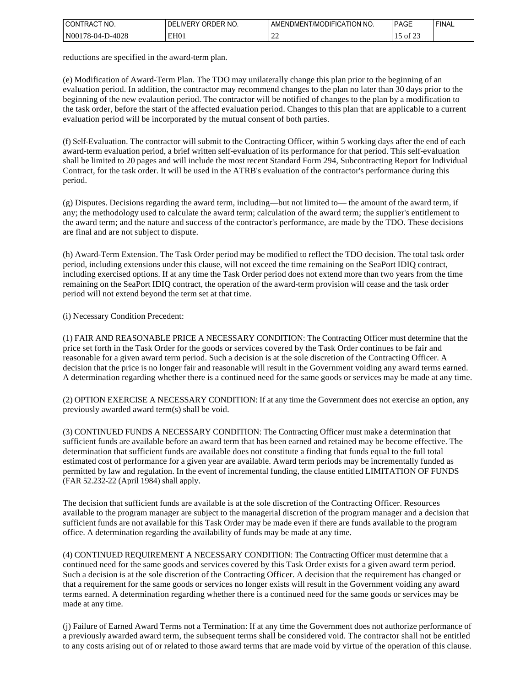| i CO<br>'NO.<br>'N<br>I RAI | DFR<br>`NO<br>וס<br>ж.<br>۱۷۶ | ' NO.<br>. ATION '<br><b>JDIFI</b><br>ΔN<br>/MC<br>: AMEN!<br>∪MEN ' | <b>PAGE</b>                          | <b>FINAL</b> |
|-----------------------------|-------------------------------|----------------------------------------------------------------------|--------------------------------------|--------------|
| $'N00_1$<br>0-4028<br>74    | EH <sub>0</sub>               | $\sim$<br>---                                                        | ΟĪ<br><u>.</u><br>…<br>___<br>$\sim$ |              |

reductions are specified in the award-term plan.

(e) Modification of Award-Term Plan. The TDO may unilaterally change this plan prior to the beginning of an evaluation period. In addition, the contractor may recommend changes to the plan no later than 30 days prior to the beginning of the new evalaution period. The contractor will be notified of changes to the plan by a modification to the task order, before the start of the affected evaluation period. Changes to this plan that are applicable to a current evaluation period will be incorporated by the mutual consent of both parties.

(f) Self-Evaluation. The contractor will submit to the Contracting Officer, within 5 working days after the end of each award-term evaluation period, a brief written self-evaluation of its performance for that period. This self-evaluation shall be limited to 20 pages and will include the most recent Standard Form 294, Subcontracting Report for Individual Contract, for the task order. It will be used in the ATRB's evaluation of the contractor's performance during this period.

(g) Disputes. Decisions regarding the award term, including—but not limited to— the amount of the award term, if any; the methodology used to calculate the award term; calculation of the award term; the supplier's entitlement to the award term; and the nature and success of the contractor's performance, are made by the TDO. These decisions are final and are not subject to dispute.

(h) Award-Term Extension. The Task Order period may be modified to reflect the TDO decision. The total task order period, including extensions under this clause, will not exceed the time remaining on the SeaPort IDIQ contract, including exercised options. If at any time the Task Order period does not extend more than two years from the time remaining on the SeaPort IDIQ contract, the operation of the award-term provision will cease and the task order period will not extend beyond the term set at that time.

(i) Necessary Condition Precedent:

(1) FAIR AND REASONABLE PRICE A NECESSARY CONDITION: The Contracting Officer must determine that the price set forth in the Task Order for the goods or services covered by the Task Order continues to be fair and reasonable for a given award term period. Such a decision is at the sole discretion of the Contracting Officer. A decision that the price is no longer fair and reasonable will result in the Government voiding any award terms earned. A determination regarding whether there is a continued need for the same goods or services may be made at any time.

(2) OPTION EXERCISE A NECESSARY CONDITION: If at any time the Government does not exercise an option, any previously awarded award term(s) shall be void.

(3) CONTINUED FUNDS A NECESSARY CONDITION: The Contracting Officer must make a determination that sufficient funds are available before an award term that has been earned and retained may be become effective. The determination that sufficient funds are available does not constitute a finding that funds equal to the full total estimated cost of performance for a given year are available. Award term periods may be incrementally funded as permitted by law and regulation. In the event of incremental funding, the clause entitled LIMITATION OF FUNDS (FAR 52.232-22 (April 1984) shall apply.

The decision that sufficient funds are available is at the sole discretion of the Contracting Officer. Resources available to the program manager are subject to the managerial discretion of the program manager and a decision that sufficient funds are not available for this Task Order may be made even if there are funds available to the program office. A determination regarding the availability of funds may be made at any time.

(4) CONTINUED REQUIREMENT A NECESSARY CONDITION: The Contracting Officer must determine that a continued need for the same goods and services covered by this Task Order exists for a given award term period. Such a decision is at the sole discretion of the Contracting Officer. A decision that the requirement has changed or that a requirement for the same goods or services no longer exists will result in the Government voiding any award terms earned. A determination regarding whether there is a continued need for the same goods or services may be made at any time.

(j) Failure of Earned Award Terms not a Termination: If at any time the Government does not authorize performance of a previously awarded award term, the subsequent terms shall be considered void. The contractor shall not be entitled to any costs arising out of or related to those award terms that are made void by virtue of the operation of this clause.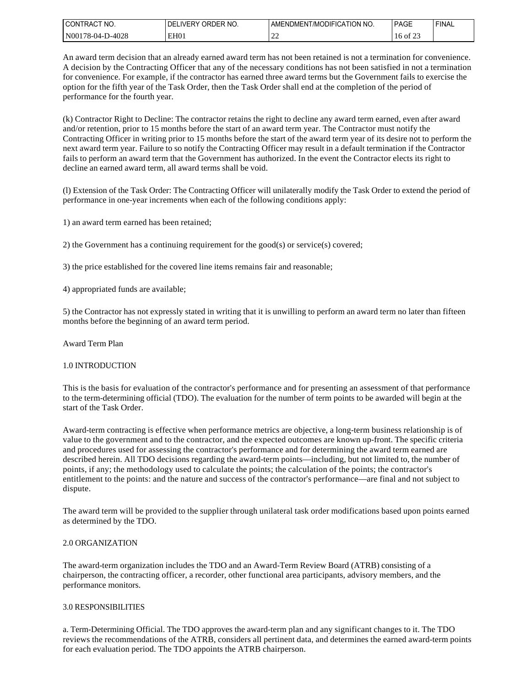| l CON<br>'NO.<br>'I RAC   | NO. יידי<br>WERY<br>DF<br>ואו | ' NO.<br><b>CATION</b><br>111F1C<br>I /MC<br>JMEN.<br>…/I⊢NI∴ | <b>PAGE</b>       | <b>FINAL</b> |
|---------------------------|-------------------------------|---------------------------------------------------------------|-------------------|--------------|
| N001<br>D-4028<br>78-04-l | EH <sub>0</sub>               | --                                                            | ot /<br>ีเ⊍<br>__ |              |

An award term decision that an already earned award term has not been retained is not a termination for convenience. A decision by the Contracting Officer that any of the necessary conditions has not been satisfied in not a termination for convenience. For example, if the contractor has earned three award terms but the Government fails to exercise the option for the fifth year of the Task Order, then the Task Order shall end at the completion of the period of performance for the fourth year.

(k) Contractor Right to Decline: The contractor retains the right to decline any award term earned, even after award and/or retention, prior to 15 months before the start of an award term year. The Contractor must notify the Contracting Officer in writing prior to 15 months before the start of the award term year of its desire not to perform the next award term year. Failure to so notify the Contracting Officer may result in a default termination if the Contractor fails to perform an award term that the Government has authorized. In the event the Contractor elects its right to decline an earned award term, all award terms shall be void.

(l) Extension of the Task Order: The Contracting Officer will unilaterally modify the Task Order to extend the period of performance in one-year increments when each of the following conditions apply:

1) an award term earned has been retained;

2) the Government has a continuing requirement for the good(s) or service(s) covered;

3) the price established for the covered line items remains fair and reasonable;

4) appropriated funds are available;

5) the Contractor has not expressly stated in writing that it is unwilling to perform an award term no later than fifteen months before the beginning of an award term period.

Award Term Plan

#### 1.0 INTRODUCTION

This is the basis for evaluation of the contractor's performance and for presenting an assessment of that performance to the term-determining official (TDO). The evaluation for the number of term points to be awarded will begin at the start of the Task Order.

Award-term contracting is effective when performance metrics are objective, a long-term business relationship is of value to the government and to the contractor, and the expected outcomes are known up-front. The specific criteria and procedures used for assessing the contractor's performance and for determining the award term earned are described herein. All TDO decisions regarding the award-term points—including, but not limited to, the number of points, if any; the methodology used to calculate the points; the calculation of the points; the contractor's entitlement to the points: and the nature and success of the contractor's performance—are final and not subject to dispute.

The award term will be provided to the supplier through unilateral task order modifications based upon points earned as determined by the TDO.

#### 2.0 ORGANIZATION

The award-term organization includes the TDO and an Award-Term Review Board (ATRB) consisting of a chairperson, the contracting officer, a recorder, other functional area participants, advisory members, and the performance monitors.

### 3.0 RESPONSIBILITIES

a. Term-Determining Official. The TDO approves the award-term plan and any significant changes to it. The TDO reviews the recommendations of the ATRB, considers all pertinent data, and determines the earned award-term points for each evaluation period. The TDO appoints the ATRB chairperson.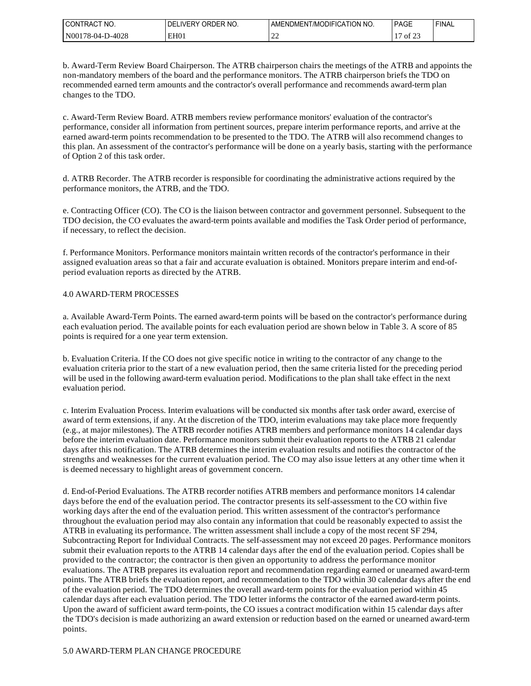| l CON<br>TNO.<br>'I RAC         | ר NO.<br>DЕ.<br>…∟ ⊃∨ …<br>יאו. | ' NO.<br><b>CATION</b><br>111F1C<br>! /MC<br>JMEN<br>.∉I⊢NI | <b>PAGE</b>          | <b>FINAL</b> |
|---------------------------------|---------------------------------|-------------------------------------------------------------|----------------------|--------------|
| N00<br><b>D-4028</b><br>78-04-l | EH <sub>0</sub>                 | --                                                          | ΟĪ<br><u>.</u><br>__ |              |

b. Award-Term Review Board Chairperson. The ATRB chairperson chairs the meetings of the ATRB and appoints the non-mandatory members of the board and the performance monitors. The ATRB chairperson briefs the TDO on recommended earned term amounts and the contractor's overall performance and recommends award-term plan changes to the TDO.

c. Award-Term Review Board. ATRB members review performance monitors' evaluation of the contractor's performance, consider all information from pertinent sources, prepare interim performance reports, and arrive at the earned award-term points recommendation to be presented to the TDO. The ATRB will also recommend changes to this plan. An assessment of the contractor's performance will be done on a yearly basis, starting with the performance of Option 2 of this task order.

d. ATRB Recorder. The ATRB recorder is responsible for coordinating the administrative actions required by the performance monitors, the ATRB, and the TDO.

e. Contracting Officer (CO). The CO is the liaison between contractor and government personnel. Subsequent to the TDO decision, the CO evaluates the award-term points available and modifies the Task Order period of performance, if necessary, to reflect the decision.

f. Performance Monitors. Performance monitors maintain written records of the contractor's performance in their assigned evaluation areas so that a fair and accurate evaluation is obtained. Monitors prepare interim and end-ofperiod evaluation reports as directed by the ATRB.

#### 4.0 AWARD-TERM PROCESSES

a. Available Award-Term Points. The earned award-term points will be based on the contractor's performance during each evaluation period. The available points for each evaluation period are shown below in Table 3. A score of 85 points is required for a one year term extension.

b. Evaluation Criteria. If the CO does not give specific notice in writing to the contractor of any change to the evaluation criteria prior to the start of a new evaluation period, then the same criteria listed for the preceding period will be used in the following award-term evaluation period. Modifications to the plan shall take effect in the next evaluation period.

c. Interim Evaluation Process. Interim evaluations will be conducted six months after task order award, exercise of award of term extensions, if any. At the discretion of the TDO, interim evaluations may take place more frequently (e.g., at major milestones). The ATRB recorder notifies ATRB members and performance monitors 14 calendar days before the interim evaluation date. Performance monitors submit their evaluation reports to the ATRB 21 calendar days after this notification. The ATRB determines the interim evaluation results and notifies the contractor of the strengths and weaknesses for the current evaluation period. The CO may also issue letters at any other time when it is deemed necessary to highlight areas of government concern.

d. End-of-Period Evaluations. The ATRB recorder notifies ATRB members and performance monitors 14 calendar days before the end of the evaluation period. The contractor presents its self-assessment to the CO within five working days after the end of the evaluation period. This written assessment of the contractor's performance throughout the evaluation period may also contain any information that could be reasonably expected to assist the ATRB in evaluating its performance. The written assessment shall include a copy of the most recent SF 294, Subcontracting Report for Individual Contracts. The self-assessment may not exceed 20 pages. Performance monitors submit their evaluation reports to the ATRB 14 calendar days after the end of the evaluation period. Copies shall be provided to the contractor; the contractor is then given an opportunity to address the performance monitor evaluations. The ATRB prepares its evaluation report and recommendation regarding earned or unearned award-term points. The ATRB briefs the evaluation report, and recommendation to the TDO within 30 calendar days after the end of the evaluation period. The TDO determines the overall award-term points for the evaluation period within 45 calendar days after each evaluation period. The TDO letter informs the contractor of the earned award-term points. Upon the award of sufficient award term-points, the CO issues a contract modification within 15 calendar days after the TDO's decision is made authorizing an award extension or reduction based on the earned or unearned award-term points.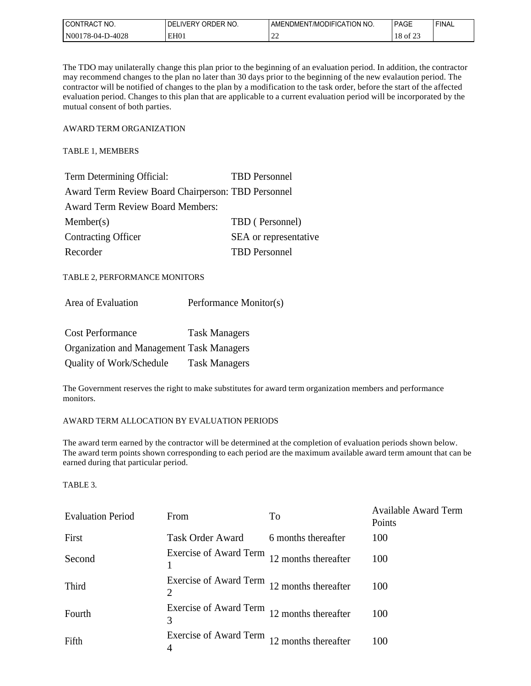| l CON<br>'NO.<br>I RAC                                         | าFR<br>٦F،<br>IVER'<br>. )RF<br>-NO | <b>JDIFICATION</b><br>NO.<br>/MC<br>AMH<br>:NDMEN i | PAGE | <b>FINAL</b> |
|----------------------------------------------------------------|-------------------------------------|-----------------------------------------------------|------|--------------|
| $\overline{N00}$<br>$\cap \cap C$<br>48-04-<br>⊍∠ο<br>.<br>___ | EH <sub>0</sub>                     | $\sim$ $\prime$<br>--                               |      |              |

The TDO may unilaterally change this plan prior to the beginning of an evaluation period. In addition, the contractor may recommend changes to the plan no later than 30 days prior to the beginning of the new evalaution period. The contractor will be notified of changes to the plan by a modification to the task order, before the start of the affected evaluation period. Changes to this plan that are applicable to a current evaluation period will be incorporated by the mutual consent of both parties.

AWARD TERM ORGANIZATION

TABLE 1, MEMBERS

| Term Determining Official:                         | <b>TBD</b> Personnel  |
|----------------------------------------------------|-----------------------|
| Award Term Review Board Chairperson: TBD Personnel |                       |
| <b>Award Term Review Board Members:</b>            |                       |
| Member(s)                                          | TBD (Personnel)       |
| <b>Contracting Officer</b>                         | SEA or representative |
| Recorder                                           | <b>TBD</b> Personnel  |

TABLE 2, PERFORMANCE MONITORS

| Performance Monitor(s) |
|------------------------|
|                        |

| <b>Cost Performance</b>                          | <b>Task Managers</b> |
|--------------------------------------------------|----------------------|
| <b>Organization and Management Task Managers</b> |                      |
| Quality of Work/Schedule                         | <b>Task Managers</b> |

The Government reserves the right to make substitutes for award term organization members and performance monitors.

### AWARD TERM ALLOCATION BY EVALUATION PERIODS

The award term earned by the contractor will be determined at the completion of evaluation periods shown below. The award term points shown corresponding to each period are the maximum available award term amount that can be earned during that particular period.

### TABLE 3.

| <b>Evaluation Period</b> | From                                             | To                   | <b>Available Award Term</b><br>Points |
|--------------------------|--------------------------------------------------|----------------------|---------------------------------------|
| First                    | <b>Task Order Award</b>                          | 6 months thereafter  | 100                                   |
| Second                   | Exercise of Award Term                           | 12 months thereafter | 100                                   |
| Third                    | Exercise of Award Term 12 months thereafter<br>2 |                      | 100                                   |
| Fourth                   | Exercise of Award Term 12 months thereafter<br>3 |                      | 100                                   |
| Fifth                    | Exercise of Award Term 12 months thereafter<br>4 |                      | 100                                   |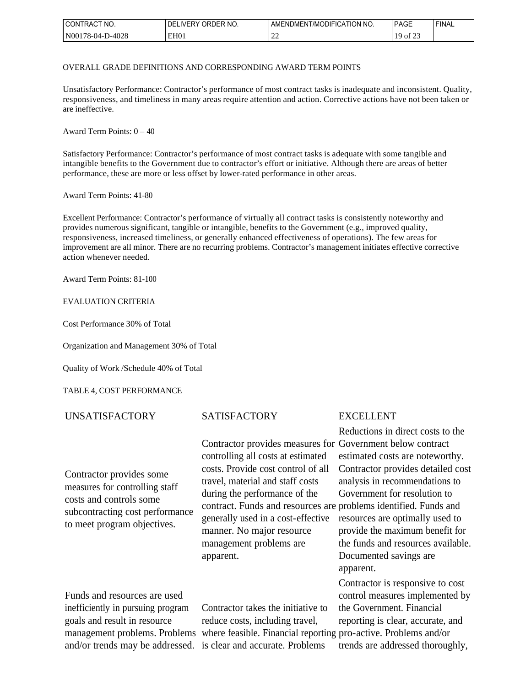| l CON<br>TNO.<br>. I RAC                       | <b>ORDER NO.</b><br>IVED V<br>ЭF | <b>ODIFICATION</b><br>NO.<br>"AMENDMENT/MO. | <b>PAGE</b> | FINAL |
|------------------------------------------------|----------------------------------|---------------------------------------------|-------------|-------|
| N001<br><b>D-4028</b><br>$1.6 - 04 - 1$<br>___ | EH <sub>0</sub>                  | --                                          | ΟĪ<br>ــ    |       |

#### OVERALL GRADE DEFINITIONS AND CORRESPONDING AWARD TERM POINTS

Unsatisfactory Performance: Contractor's performance of most contract tasks is inadequate and inconsistent. Quality, responsiveness, and timeliness in many areas require attention and action. Corrective actions have not been taken or are ineffective.

Award Term Points: 0 – 40

Satisfactory Performance: Contractor's performance of most contract tasks is adequate with some tangible and intangible benefits to the Government due to contractor's effort or initiative. Although there are areas of better performance, these are more or less offset by lower-rated performance in other areas.

Award Term Points: 41-80

Excellent Performance: Contractor's performance of virtually all contract tasks is consistently noteworthy and provides numerous significant, tangible or intangible, benefits to the Government (e.g., improved quality, responsiveness, increased timeliness, or generally enhanced effectiveness of operations). The few areas for improvement are all minor. There are no recurring problems. Contractor's management initiates effective corrective action whenever needed.

Award Term Points: 81-100

### EVALUATION CRITERIA

Cost Performance 30% of Total

Organization and Management 30% of Total

Quality of Work /Schedule 40% of Total

### TABLE 4, COST PERFORMANCE

## UNSATISFACTORY SATISFACTORY EXCELLENT

Contractor provides some measures for controlling staff costs and controls some subcontracting cost performance to meet program objectives.

controlling all costs at estimated costs. Provide cost control of all travel, material and staff costs during the performance of the contract. Funds and resources are problems identified. Funds and generally used in a cost-effective manner. No major resource management problems are apparent.

Funds and resources are used inefficiently in pursuing program goals and result in resource

management problems. Problems where feasible. Financial reporting pro-active. Problems and/or and/or trends may be addressed. is clear and accurate. Problems Contractor takes the initiative to reduce costs, including travel,

Contractor provides measures for Government below contract Reductions in direct costs to the estimated costs are noteworthy. Contractor provides detailed cost analysis in recommendations to Government for resolution to resources are optimally used to

provide the maximum benefit for the funds and resources available. Documented savings are apparent.

Contractor is responsive to cost control measures implemented by the Government. Financial reporting is clear, accurate, and trends are addressed thoroughly,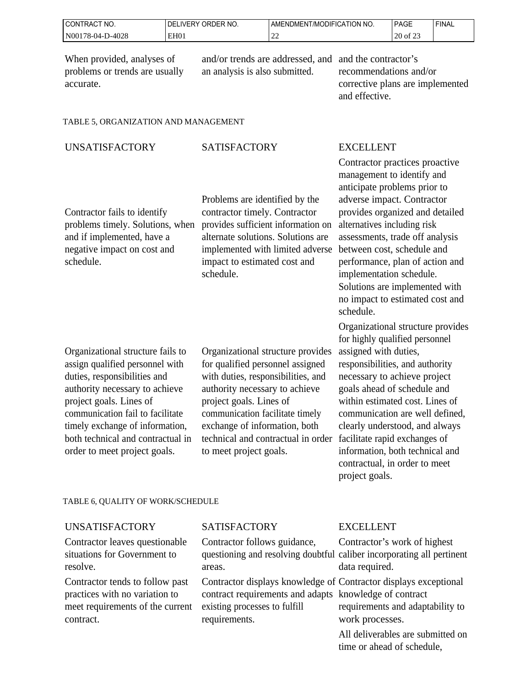| ' CONTRACT NO.        | ORDER NO.<br><b>DELIVERY</b> | AMENDMENT/MODIFICATION NO. | <b>PAGE</b>                                          | <b>FINAL</b> |
|-----------------------|------------------------------|----------------------------|------------------------------------------------------|--------------|
| N00178-04-<br>-D-4028 | EH <sub>0</sub>              | $\sim$<br>∸                | $\mathbf{A}$<br>∩ר<br>$\frac{1}{2}$ of $\frac{1}{2}$ |              |

When provided, analyses of problems or trends are usually accurate.

and/or trends are addressed, and and the contractor's an analysis is also submitted.

recommendations and/or corrective plans are implemented and effective.

## TABLE 5, ORGANIZATION AND MANAGEMENT

# UNSATISFACTORY SATISFACTORY EXCELLENT

Contractor fails to identify and if implemented, have a negative impact on cost and schedule.

problems timely. Solutions, when provides sufficient information on Problems are identified by the contractor timely. Contractor alternate solutions. Solutions are implemented with limited adverse impact to estimated cost and schedule.

Organizational structure fails to assign qualified personnel with duties, responsibilities and authority necessary to achieve project goals. Lines of communication fail to facilitate timely exchange of information, both technical and contractual in order to meet project goals.

Organizational structure provides for qualified personnel assigned with duties, responsibilities, and authority necessary to achieve project goals. Lines of communication facilitate timely exchange of information, both technical and contractual in order to meet project goals.

Contractor practices proactive management to identify and anticipate problems prior to adverse impact. Contractor provides organized and detailed alternatives including risk assessments, trade off analysis between cost, schedule and performance, plan of action and implementation schedule. Solutions are implemented with no impact to estimated cost and schedule.

Organizational structure provides for highly qualified personnel assigned with duties, responsibilities, and authority necessary to achieve project goals ahead of schedule and within estimated cost. Lines of communication are well defined, clearly understood, and always facilitate rapid exchanges of information, both technical and contractual, in order to meet project goals.

# TABLE 6, QUALITY OF WORK/SCHEDULE

# UNSATISFACTORY SATISFACTORY EXCELLENT

Contractor leaves questionable situations for Government to resolve.

Contractor tends to follow past practices with no variation to meet requirements of the current contract.

Contractor follows guidance, questioning and resolving doubtful caliber incorporating all pertinent areas.

Contractor displays knowledge of Contractor displays exceptional contract requirements and adapts knowledge of contract existing processes to fulfill requirements.

Contractor's work of highest data required.

requirements and adaptability to work processes.

All deliverables are submitted on time or ahead of schedule,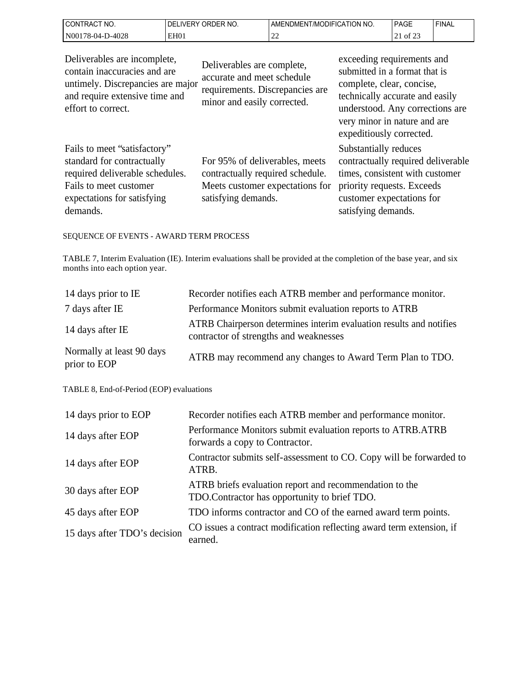| CT NO.<br>'CONTRACT   | NO.<br>ORDER<br>∟IVERY<br>DFI | NDMENT/MODIFICATION NO.<br>AMENL | <b>PAGE</b>                               | 'FINAL |
|-----------------------|-------------------------------|----------------------------------|-------------------------------------------|--------|
| N00178-04-.<br>D-4028 | EH <sub>0</sub>               | $\sim$<br>-                      | $\sim$ $\sim$ $\sim$<br>$\cdot$ of $\sim$ |        |

| Deliverables are incomplete,<br>contain inaccuracies and are<br>untimely. Discrepancies are major<br>and require extensive time and<br>effort to correct.          | Deliverables are complete,<br>accurate and meet schedule<br>requirements. Discrepancies are<br>minor and easily corrected.   | exceeding requirements and<br>submitted in a format that is<br>complete, clear, concise,<br>technically accurate and easily<br>understood. Any corrections are<br>very minor in nature and are<br>expeditiously corrected. |
|--------------------------------------------------------------------------------------------------------------------------------------------------------------------|------------------------------------------------------------------------------------------------------------------------------|----------------------------------------------------------------------------------------------------------------------------------------------------------------------------------------------------------------------------|
| Fails to meet "satisfactory"<br>standard for contractually<br>required deliverable schedules.<br>Fails to meet customer<br>expectations for satisfying<br>demands. | For 95% of deliverables, meets<br>contractually required schedule.<br>Meets customer expectations for<br>satisfying demands. | Substantially reduces<br>contractually required deliverable<br>times, consistent with customer<br>priority requests. Exceeds<br>customer expectations for<br>satisfying demands.                                           |

# SEQUENCE OF EVENTS - AWARD TERM PROCESS

TABLE 7, Interim Evaluation (IE). Interim evaluations shall be provided at the completion of the base year, and six months into each option year.

| 14 days prior to IE                       | Recorder notifies each ATRB member and performance monitor.                                                   |
|-------------------------------------------|---------------------------------------------------------------------------------------------------------------|
| 7 days after IE                           | Performance Monitors submit evaluation reports to ATRB                                                        |
| 14 days after IE                          | ATRB Chairperson determines interim evaluation results and notifies<br>contractor of strengths and weaknesses |
| Normally at least 90 days<br>prior to EOP | ATRB may recommend any changes to Award Term Plan to TDO.                                                     |

## TABLE 8, End-of-Period (EOP) evaluations

| 14 days prior to EOP         | Recorder notifies each ATRB member and performance monitor.                                             |
|------------------------------|---------------------------------------------------------------------------------------------------------|
| 14 days after EOP            | Performance Monitors submit evaluation reports to ATRB.ATRB<br>forwards a copy to Contractor.           |
| 14 days after EOP            | Contractor submits self-assessment to CO. Copy will be forwarded to<br>ATRB.                            |
| 30 days after EOP            | ATRB briefs evaluation report and recommendation to the<br>TDO.Contractor has opportunity to brief TDO. |
| 45 days after EOP            | TDO informs contractor and CO of the earned award term points.                                          |
| 15 days after TDO's decision | CO issues a contract modification reflecting award term extension, if<br>earned.                        |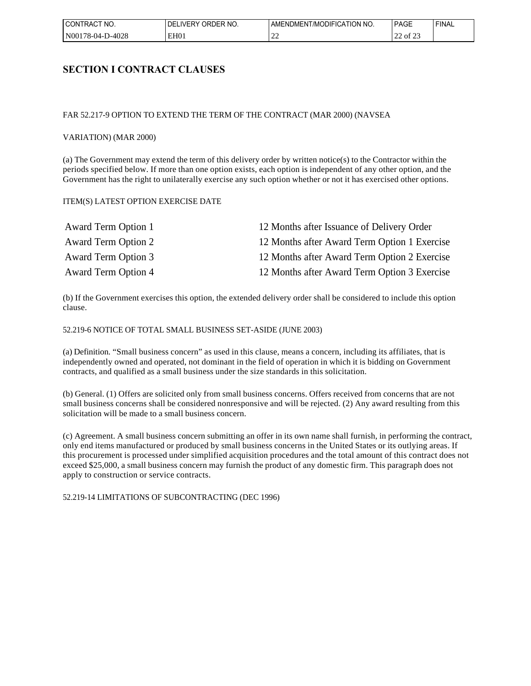| l CON <sup>-</sup><br>'NO.<br>TRAC1 | ORDER NO.<br><b>IVERY</b><br>DF. | <b>CATION</b><br>' NO.<br><b>JDIFIC</b><br>l /MC<br>JMEN<br>AMENL' | <b>PAGE</b>  | FINAL |
|-------------------------------------|----------------------------------|--------------------------------------------------------------------|--------------|-------|
| l N00<br>0-4028<br>$1.6 - 04 - 1$   | EH <sub>0</sub> 1                | --                                                                 | $\sim$<br>ΟĪ |       |

# **SECTION I CONTRACT CLAUSES**

#### FAR 52.217-9 OPTION TO EXTEND THE TERM OF THE CONTRACT (MAR 2000) (NAVSEA

#### VARIATION) (MAR 2000)

(a) The Government may extend the term of this delivery order by written notice(s) to the Contractor within the periods specified below. If more than one option exists, each option is independent of any other option, and the Government has the right to unilaterally exercise any such option whether or not it has exercised other options.

#### ITEM(S) LATEST OPTION EXERCISE DATE

| Award Term Option 1        | 12 Months after Issuance of Delivery Order   |
|----------------------------|----------------------------------------------|
| <b>Award Term Option 2</b> | 12 Months after Award Term Option 1 Exercise |
| Award Term Option 3        | 12 Months after Award Term Option 2 Exercise |
| <b>Award Term Option 4</b> | 12 Months after Award Term Option 3 Exercise |

(b) If the Government exercises this option, the extended delivery order shall be considered to include this option clause.

52.219-6 NOTICE OF TOTAL SMALL BUSINESS SET-ASIDE (JUNE 2003)

(a) Definition. "Small business concern" as used in this clause, means a concern, including its affiliates, that is independently owned and operated, not dominant in the field of operation in which it is bidding on Government contracts, and qualified as a small business under the size standards in this solicitation.

(b) General. (1) Offers are solicited only from small business concerns. Offers received from concerns that are not small business concerns shall be considered nonresponsive and will be rejected. (2) Any award resulting from this solicitation will be made to a small business concern.

(c) Agreement. A small business concern submitting an offer in its own name shall furnish, in performing the contract, only end items manufactured or produced by small business concerns in the United States or its outlying areas. If this procurement is processed under simplified acquisition procedures and the total amount of this contract does not exceed \$25,000, a small business concern may furnish the product of any domestic firm. This paragraph does not apply to construction or service contracts.

52.219-14 LIMITATIONS OF SUBCONTRACTING (DEC 1996)